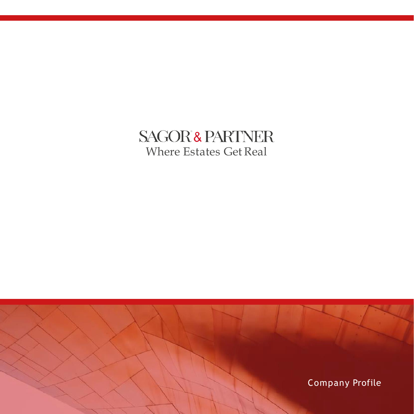# **SAGOR & PARTNER** Where Estates Get Real

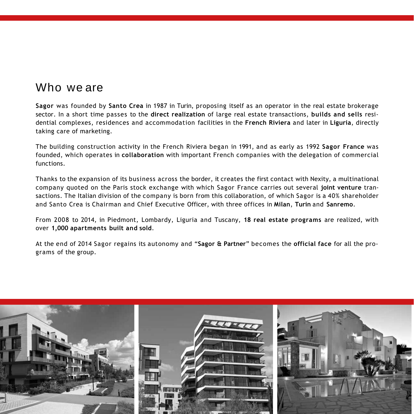### Who we are

**Sagor** was founded by **Santo Crea** in 1987 in Turin, proposing itself as an operator in the real estate brokerage sector. In a short time passes to the **direct realization** of large real estate transactions, **builds and sells** residential complexes, residences and accommodation facilities in the **French Riviera** and later in **Liguria**, directly taking care of marketing.

The building construction activity in the French Riviera began in 1991, and as early as 1992 **Sagor France** was founded, which operates in **collaboration** with important French companies with the delegation of commercial functions.

Thanks to the expansion of its business across the border, it creates the first contact with Nexity, a multinational company quoted on the Paris stock exchange with which Sagor France carries out several **joint venture** transactions. The Italian division of the company is born from this collaboration, of which Sagor is a 40% shareholder and Santo Crea is Chairman and Chief Executive Officer, with three offices in **Milan**, **Turin** and **Sanremo**.

From 2008 to 2014, in Piedmont, Lombardy, Liguria and Tuscany, **18 real estate programs** are realized, with over **1,000 apartments built and sold**.

At the end of 2014 Sagor regains its autonomy and "**Sagor & Partner**" becomes the **official face** for all the programs of the group.

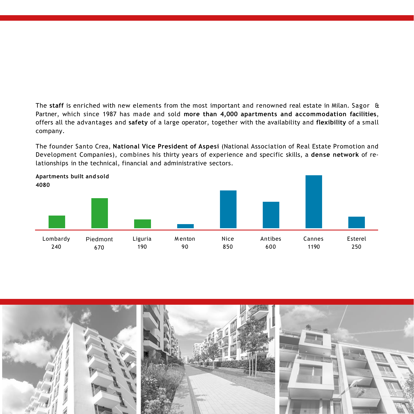The **staff** is enriched with new elements from the most important and renowned real estate in Milan. Sagor & Partner, which since 1987 has made and sold **more than 4,000 apartments and accommodation facilities**, offers all the advantages and **safety** of a large operator, together with the availability and **flexibility** of a small company.

The founder Santo Crea, **National Vice President of Aspesi** (National Association of Real Estate Promotion and Development Companies), combines his thirty years of experience and specific skills, a **dense network** of relationships in the technical, financial and administrative sectors.



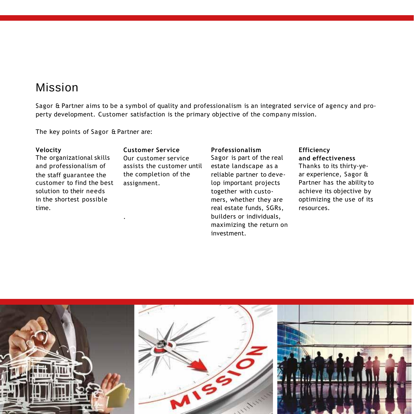### Mission

Sagor & Partner aims to be a symbol of quality and professionalism is an integrated service of agency and property development. Customer satisfaction is the primary objective of the company mission.

The key points of Sagor & Partner are:

#### **Velocity**

The organizational skills and professionalism of the staff guarantee the customer to find the best solution to their needs in the shortest possible time.

#### **Customer Service** Our customer service assists the customer until

the completion of the assignment.

.

#### **Professionalism**

Sagor is part of the real estate landscape as a reliable partner to develop important projects together with customers, whether they are real estate funds, SGRs, builders or individuals, maximizing the return on investment.

### **Efficiency and effectiveness**

Thanks to its thirty-year experience, Sagor & Partner has the ability to achieve its objective by optimizing the use of its resources.

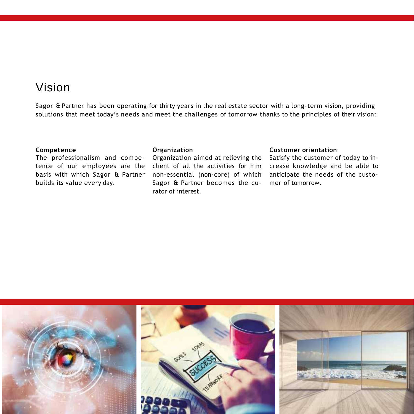### Vision

Sagor & Partner has been operating for thirty years in the real estate sector with a long-term vision, providing solutions that meet today's needs and meet the challenges of tomorrow thanks to the principles of their vision:

#### **Competence**

The professionalism and competence of our employees are the basis with which Sagor & Partner builds its value every day.

#### **Organization**

Organization aimed at relieving the client of all the activities for him non-essential (non-core) of which Sagor & Partner becomes the curator of interest.

#### **Customer orientation**

Satisfy the customer of today to increase knowledge and be able to anticipate the needs of the customer of tomorrow.

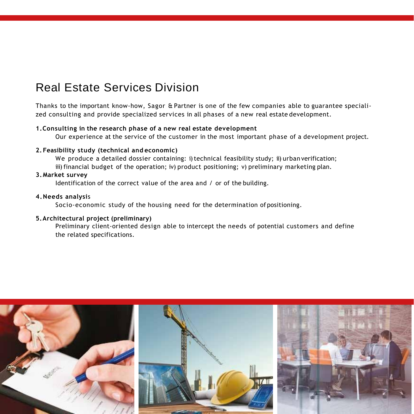### Real Estate Services Division

Thanks to the important know-how, Sagor & Partner is one of the few companies able to guarantee specialized consulting and provide specialized services in all phases of a new real estate development.

#### **1.Consulting in the research phase of a new real estate development**

Our experience at the service of the customer in the most important phase of a development project.

#### **2. Feasibility study (technical and economic)**

We produce a detailed dossier containing: i) technical feasibility study; ii) urban verification;

iii) financial budget of the operation; iv) product positioning; v) preliminary marketing plan.

#### **3.Market survey**

Identification of the correct value of the area and / or of the building.

#### **4.Needs analysi**s

Socio-economic study of the housing need for the determination of positioning.

#### **5.Architectural project (preliminary)**

Preliminary client-oriented design able to intercept the needs of potential customers and define the related specifications.

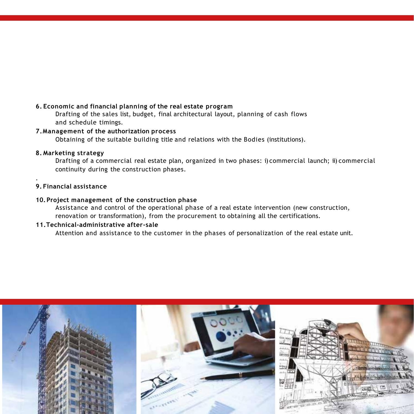#### **6. Economic and financial planning of the real estate program**

Drafting of the sales list, budget, final architectural layout, planning of cash flows and schedule timings.

#### **7.Management of the authorization process**

Obtaining of the suitable building title and relations with the Bodies (institutions).

#### **8. Marketing strategy**

Drafting of a commercial real estate plan, organized in two phases: i) commercial launch; ii) commercial continuity during the construction phases.

#### **9. Financial assistance**

.

#### **10. Project management of the construction phase**

Assistance and control of the operational phase of a real estate intervention (new construction, renovation or transformation), from the procurement to obtaining all the certifications.

#### **11.Technical-administrative after-sale**

Attention and assistance to the customer in the phases of personalization of the real estate unit.

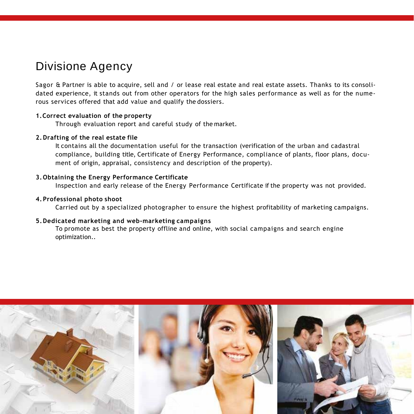### Divisione Agency

Sagor & Partner is able to acquire, sell and / or lease real estate and real estate assets. Thanks to its consolidated experience, it stands out from other operators for the high sales performance as well as for the numerous services offered that add value and qualify the dossiers.

#### **1.Correct evaluation of the property**

Through evaluation report and careful study of the market.

#### **2.Drafting of the real estate file**

It contains all the documentation useful for the transaction (verification of the urban and cadastral compliance, building title, Certificate of Energy Performance, compliance of plants, floor plans, document of origin, appraisal, consistency and description of the property).

#### **3.Obtaining the Energy Performance Certificate**

Inspection and early release of the Energy Performance Certificate if the property was not provided.

#### **4. Professional photo shoot**

Carried out by a specialized photographer to ensure the highest profitability of marketing campaigns.

#### **5.Dedicated marketing and web-marketing campaigns**

To promote as best the property offline and online, with social campaigns and search engine optimization..

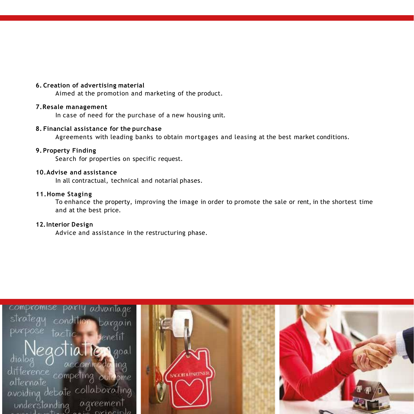#### **6. Creation of advertising material**

Aimed at the promotion and marketing of the product.

#### **7.Resale management**

In case of need for the purchase of a new housing unit.

#### **8. Financial assistance for the purchase**

Agreements with leading banks to obtain mortgages and leasing at the best market conditions.

#### **9. Property Finding**

Search for properties on specific request.

#### **10.Advise and assistance**

In all contractual, technical and notarial phases.

#### **11.Home Staging**

To enhance the property, improving the image in order to promote the sale or rent, in the shortest time and at the best price.

#### **12.Interior Design**

Advice and assistance in the restructuring phase.

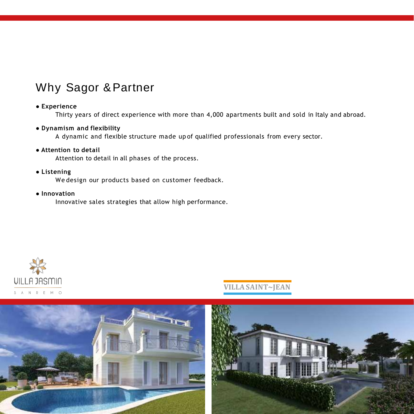## Why Sagor & Partner

### ● **Experience**

Thirty years of direct experience with more than 4,000 apartments built and sold in Italy and abroad.

#### ● **Dynamism and flexibility**

A dynamic and flexible structure made up of qualified professionals from every sector.

### ● **Attention to detail**

Attention to detail in all phases of the process.

#### ● **Listening**

We design our products based on customer feedback.

● **Innovation**

Innovative sales strategies that allow high performance.



### **VILLASAINT~JEAN**

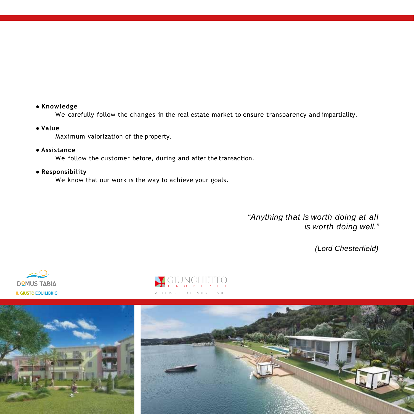#### ● **Knowledge**

We carefully follow the changes in the real estate market to ensure transparency and impartiality.

● **Value**

Maximum valorization of the property.

- **Assistance** We follow the customer before, during and after the transaction.
- **Responsibility**

We know that our work is the way to achieve your goals.

*"Anything that is worth doing at all is worth doing well."*

*(Lord Chesterfield)*